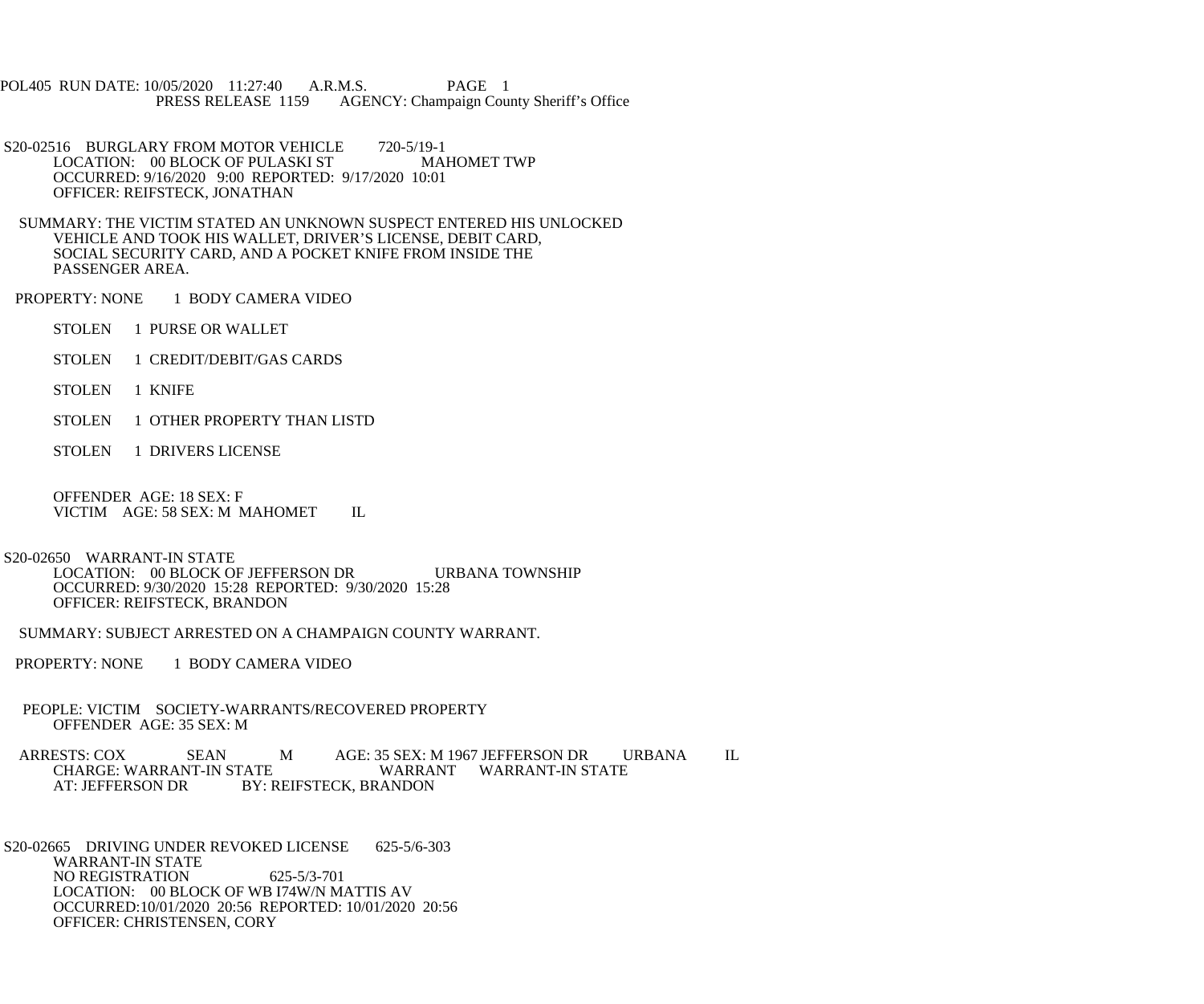POL405 RUN DATE: 10/05/2020 11:27:40 A.R.M.S. PAGE 1<br>PRESS RELEASE 1159 AGENCY: Champaign Cou AGENCY: Champaign County Sheriff's Office

S20-02516 BURGLARY FROM MOTOR VEHICLE 720-5/19-1<br>LOCATION: 00 BLOCK OF PULASKI ST MAHOMET TWP LOCATION: 00 BLOCK OF PULASKI ST OCCURRED: 9/16/2020 9:00 REPORTED: 9/17/2020 10:01 OFFICER: REIFSTECK, JONATHAN

 SUMMARY: THE VICTIM STATED AN UNKNOWN SUSPECT ENTERED HIS UNLOCKED VEHICLE AND TOOK HIS WALLET, DRIVER'S LICENSE, DEBIT CARD, SOCIAL SECURITY CARD, AND A POCKET KNIFE FROM INSIDE THE PASSENGER AREA.

PROPERTY: NONE 1 BODY CAMERA VIDEO

STOLEN 1 PURSE OR WALLET

STOLEN 1 CREDIT/DEBIT/GAS CARDS

STOLEN 1 KNIFE

STOLEN 1 OTHER PROPERTY THAN LISTD

STOLEN 1 DRIVERS LICENSE

 OFFENDER AGE: 18 SEX: F VICTIM AGE: 58 SEX: M MAHOMET IL

S20-02650 WARRANT-IN STATE

 LOCATION: 00 BLOCK OF JEFFERSON DR URBANA TOWNSHIP OCCURRED: 9/30/2020 15:28 REPORTED: 9/30/2020 15:28 OFFICER: REIFSTECK, BRANDON

SUMMARY: SUBJECT ARRESTED ON A CHAMPAIGN COUNTY WARRANT.

PROPERTY: NONE 1 BODY CAMERA VIDEO

 PEOPLE: VICTIM SOCIETY-WARRANTS/RECOVERED PROPERTY OFFENDER AGE: 35 SEX: M

ARRESTS: COX SEAN M AGE: 35 SEX: M 1967 JEFFERSON DR URBANA IL CHARGE: WARRANT-IN STATE CHARGE: WARRANT-IN STATE WARRANT WARRANT-IN STATE<br>AT: JEFFERSON DR BY: REIFSTECK, BRANDON BY: REIFSTECK, BRANDON

 S20-02665 DRIVING UNDER REVOKED LICENSE 625-5/6-303 WARRANT-IN STATE NO REGISTRATION 625-5/3-701 LOCATION: 00 BLOCK OF WB I74W/N MATTIS AV OCCURRED:10/01/2020 20:56 REPORTED: 10/01/2020 20:56 OFFICER: CHRISTENSEN, CORY